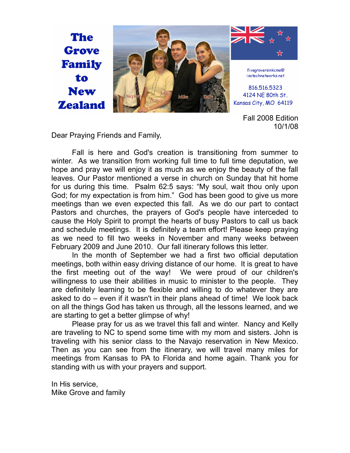

Fall 2008 Edition 10/1/08

Dear Praying Friends and Family,

Fall is here and God's creation is transitioning from summer to winter. As we transition from working full time to full time deputation, we hope and pray we will enjoy it as much as we enjoy the beauty of the fall leaves. Our Pastor mentioned a verse in church on Sunday that hit home for us during this time. Psalm 62:5 says: "My soul, wait thou only upon God; for my expectation is from him." God has been good to give us more meetings than we even expected this fall. As we do our part to contact Pastors and churches, the prayers of God's people have interceded to cause the Holy Spirit to prompt the hearts of busy Pastors to call us back and schedule meetings. It is definitely a team effort! Please keep praying as we need to fill two weeks in November and many weeks between February 2009 and June 2010. Our fall itinerary follows this letter.

In the month of September we had a first two official deputation meetings, both within easy driving distance of our home. It is great to have the first meeting out of the way! We were proud of our children's willingness to use their abilities in music to minister to the people. They are definitely learning to be flexible and willing to do whatever they are asked to do – even if it wasn't in their plans ahead of time! We look back on all the things God has taken us through, all the lessons learned, and we are starting to get a better glimpse of why!

Please pray for us as we travel this fall and winter. Nancy and Kelly are traveling to NC to spend some time with my mom and sisters. John is traveling with his senior class to the Navajo reservation in New Mexico. Then as you can see from the itinerary, we will travel many miles for meetings from Kansas to PA to Florida and home again. Thank you for standing with us with your prayers and support.

In His service, Mike Grove and family